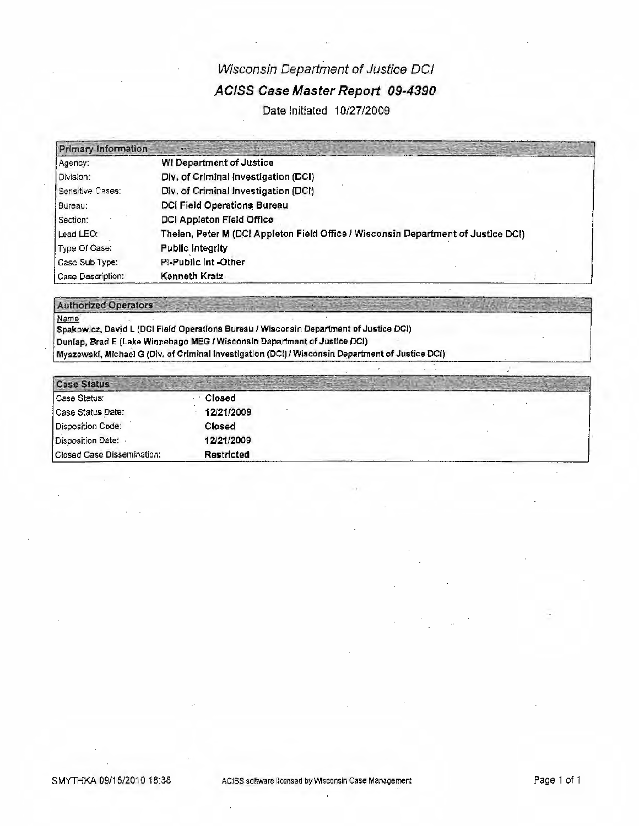# Wisconsin Department of Justice DCI ACISS Case Master Report 09-4390

Date Initiated 10/27/2009

| <b>Primary Information</b> |                                                                                   |
|----------------------------|-----------------------------------------------------------------------------------|
| Agency:                    | <b>WI Department of Justice</b>                                                   |
| Division:                  | Div. of Criminal Investigation (DCI)                                              |
| Sensitive Cases:           | Div. of Criminal Investigation (DCI)                                              |
| Bureau:                    | <b>DCI Field Operations Bureau</b>                                                |
| Section:                   | DCI Appleton Field Office                                                         |
| Lead LEO:                  | Thelen, Peter M (DC! Appleton Field Office / Wisconsin Department of Justice DC!) |
| Type Of Case:              | <b>Public Integrity</b>                                                           |
| Case Sub Type:             | Pi-Public Int-Other                                                               |
| l Case Description:        | Kenneth Kratz                                                                     |

#### **Authorized Operators**

Name Spakowicz, David L (DCI Field Operations Bureau / Wisconsin Department of Justice DCI) Dunlap, Brad E (Lake Winnebago MEG / Wisconsin Department of Justice DCI)

Myszewski, Michael G (Div. of Criminal Investigation (DCI) / Wisconsin Department of Justice DCI)

| <b>Case Status</b>         |            |  |
|----------------------------|------------|--|
| Case Status:               | Closed     |  |
| Case Status Date:          | 12/21/2009 |  |
| Disposition Code:          | Closed     |  |
| Disposition Date:          | 12/21/2009 |  |
| Closed Case Dissemination: | Restricted |  |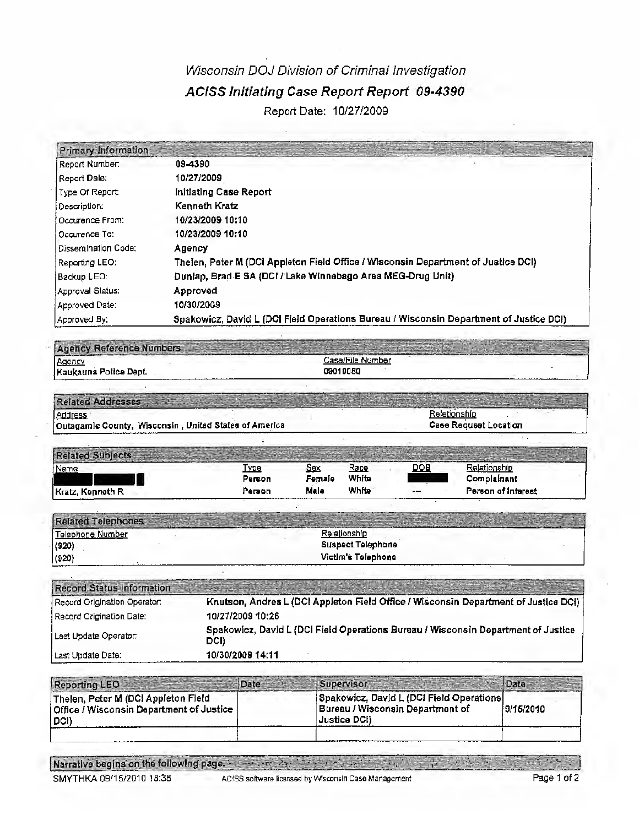## Wisconsin DOJ Division of Criminal Investigation ACISS Initiating Case Report Report 09-4390 Report Date: 10/27/2009

| <b>Primary Information</b>   |                                                                                        |
|------------------------------|----------------------------------------------------------------------------------------|
| Report Number.               | 09-4390                                                                                |
| Report Date: I               | 10/27/2009                                                                             |
| Type Of Report:              | initiating Case Report                                                                 |
| Description:                 | Kenneth Kratz                                                                          |
| fOccurence From:             | 10/23/2009 10:10                                                                       |
| <b>Occurence To:</b>         | 10/23/2009 10:10                                                                       |
| <b>I</b> Dissemination Code: | Agency                                                                                 |
| Reporting LEO:               | Thelen, Peter M (DCI Appleton Field Office / Wisconsin Department of Justice DCI)      |
| i Backup LEO:                | Dunlap, Brad E SA (DCI / Lake Winnebago Area MEG-Drug Unit)                            |
| Approval Status:             | Approved                                                                               |
| Approved Date:               | 10/30/2009                                                                             |
| Approved By:                 | Spakowicz, David L (DCI Field Operations Bureau / Wisconsin Department of Justice DCI) |

Agency Reference Numbers Case/File Number Agency 09010080 Kaukauna Police Dept.

| <b>Related Addresses</b>                               |                              |
|--------------------------------------------------------|------------------------------|
| Address                                                | Raletionshir                 |
| Outagamle County, Wisconsin , United States of America | <b>Case Request Location</b> |

| Name             | <b>Type</b> | Sex    | Race  | DOB   | lationshir                   |
|------------------|-------------|--------|-------|-------|------------------------------|
|                  | Person      | Female | White |       | Complainant                  |
| Kratz, Kenneth R | Person      | Male   | White | $- -$ | Person of Interest<br>______ |

| <b>Related Telephones</b> |                          |
|---------------------------|--------------------------|
| Telephone Number          | Relationship             |
| (920)                     | <b>Suspect Telephone</b> |
| (920)                     | Victim's Telephone       |

| <b>Record Status Information</b> |                                                                                           |
|----------------------------------|-------------------------------------------------------------------------------------------|
| Record Origination Operator:     | Knutson, Andrea L (DCI Appleton Field Office / Wisconsin Department of Justice DCI)       |
| Record Origination Date:         | 10/27/2009 10:26                                                                          |
| Last Update Operator:            | Spakowicz, David L (DCI Field Operations Bureau / Wisconsin Department of Justice<br>DCI) |
| ∐ast Undate Date:                | 10/30/2009 14:11                                                                          |

| <b>Reporting LEO</b>                                                                      | Date | Supervisor-                                                                                                 |           |
|-------------------------------------------------------------------------------------------|------|-------------------------------------------------------------------------------------------------------------|-----------|
| Thelen, Peter M (DCI Appleton Field<br>Office / Wisconsin Department of Justice,<br>(DCI) |      | Spakowicz, David L (DCI Field Operations)<br><b>Bureau / Wisconsin Department of</b><br><b>Justice DCI)</b> | 9/15/2010 |
|                                                                                           |      |                                                                                                             |           |

Narrative begins on the following page. And the state of the state of the state  $\mathcal{L} = \{ \mathcal{L} \}$ 

SMYTHKA 09/15/2010 18:38

**在中心** 

**Service**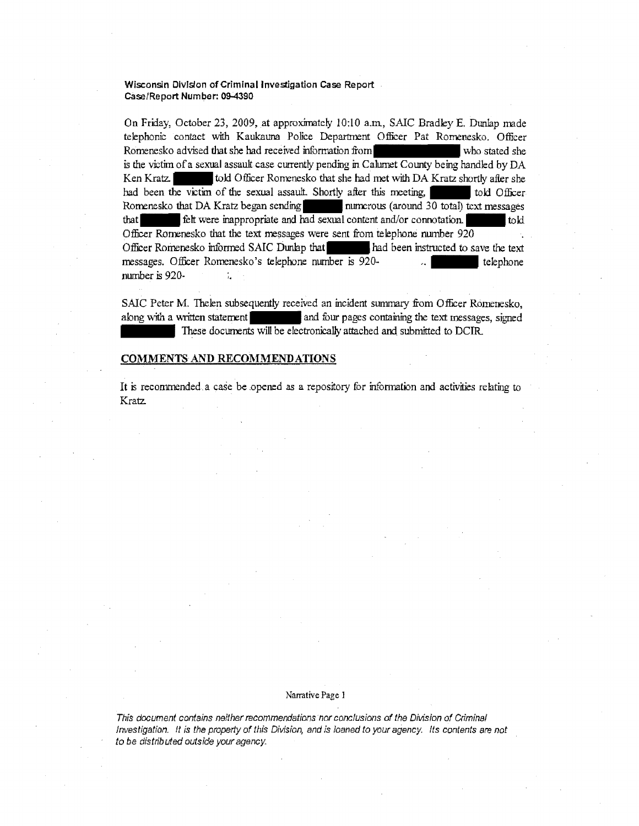**Wisconsin Division of Criminal Investigation Case Report Case/Report Number: 09-4390** 

On Friday, October 23, 2009, at approximately 10:10 a.m., SAIC Bradley E. Dunlap made telephonic contact with Kaukauna Police Department Officer Pat Romenesko. Officer Romenesko advised that she had received information from who stated she who stated she is the victim of a sexual assault case currently pending in Calumet County being handled by DA Ken Kratz. **The Studier Let also that she had met with DA Kratz shortly after she had been the victim of the sexual assault. Shortly after this meeting. The studier of the sexual assault.** Shortly after this meeting. had been the victim of the sexual assault. Shortly after this meeting,  $\parallel$ Romenesko that DA Kratz began sending<br>that  $\frac{1}{\pi}$  felt were inappropriate and had sexual content and/or connotation. felt were inappropriate and had sexual content and/or connotation. Officer Romenesko that the text messages were sent from telephone number 920 Officer Romenesko informed SAIC Dunlap that had been instructed to save the text messages. Officer Romenesko's telephone number is 920- ... In the telephone number is 920·  $\frac{1}{4}$ 

SAIC Peter M. Thelen subsequently received an incident summary from Officer Romenesko, along with a written statement  $\parallel$  and four pages containing the text messages, signed These documents will be electronically attached and submitted to DCIR.

#### **COMMENTS AND RECOMMENDATIONS**

It is recommended.a case be .opened as a repository for infonmtion and activities relating to Kratz.

#### Narrative Page l

This document contains neither recommendations nor conclusions of the Division of Criminal Investigation. It is the property of this Division, and is loaned to your agency. Its contents are not to be distributed outside your agency.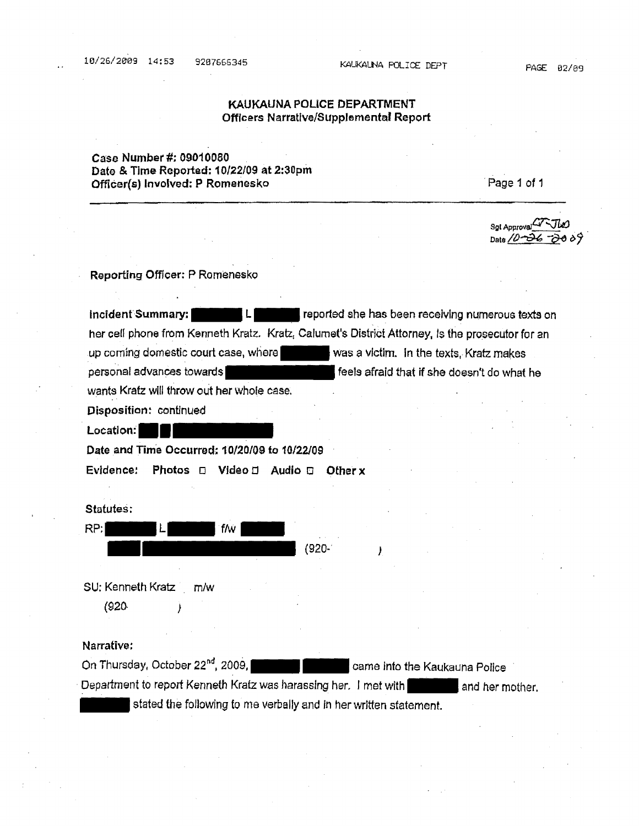#### PAGE 02/09

## KAUKAUNA POLICE DEPARTMENT Officers Narrative/Supplemental Report

## Case Number #: 09010080 Date & Time Reported: 10/22/09 at 2:30pm Officer(s) Involved: P Romenesko

Page 1 of 1

So! Approval Date */I)~* **-q,e** *t>?* 

**Reporting Offloer: P** Romenesko

**lncident Summary: LERTH Reported she has been receiving numerous texts on** her cell phone from Kenneth Kratz. Kratz, Calumet's District Attorney, Is the prosecutor for an up coming domestic court case, where  $\blacksquare$  was a victim. In the texts, Kratz makes personal advances towards **for the south of the set of that if she doesn't do what he** wants Kratz will throw out her whole case.

**Disposition:** continued **Location: ••** 

**Date and Time Occurred; 10/20/09 to 10/22/09** 

**Evidence! Photos** o **Video** a **Audio** o **Other x** 

**Statutes:** 

| <b>Statutes:</b> |      |     |            |  |
|------------------|------|-----|------------|--|
| RP:              | - II | f/w | ٠          |  |
|                  |      |     | $(920 - )$ |  |
|                  | ٠    | ٠   |            |  |

SU: Kenneth Kratz m/w

{920. *)* 

#### **Narrative:**

Out: Kenneth Kratz m/w<br>
(920 )<br>
Narrative:<br>
On Thursday, October 22<sup>nd</sup>, 2009, **Came Into the Kaukauna Police ·-**<br>
Department to report Kenneth Kratz was harassing her. I met with **the standard form and there** mot Department to report Kenneth Kratz was harassing her, I met with and her mother. stated the following to me verbally and in her written statement.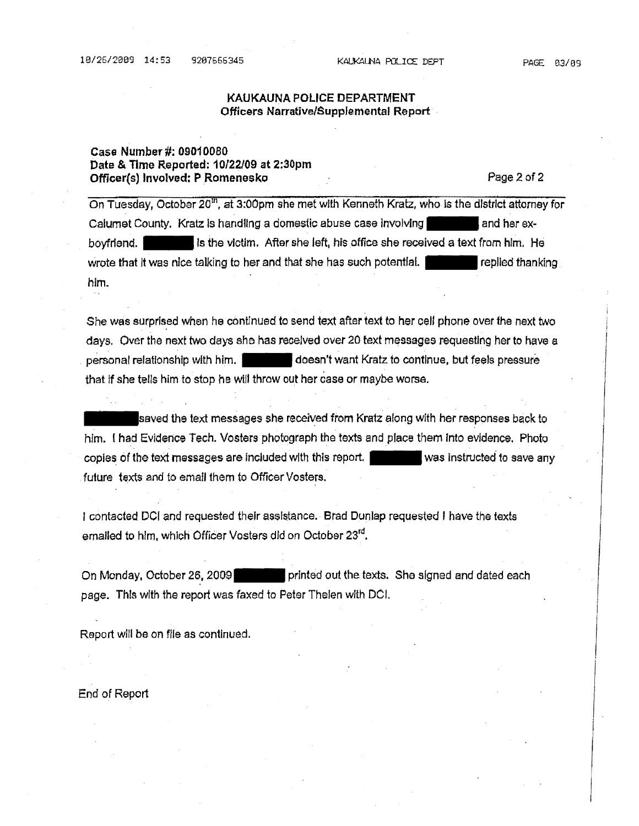#### PAGE 03/09

#### KAUKAUNA POLICE DEPARTMENT Officers Narrative/Supplemental Report

### **Case Number#:** 09010080 **Date** & **Time Reported: 10/22/09 at 2:30pm Officer(s) Involved: P Romenesko** Page2 of 2

On Tuesday, October 20<sup>th</sup>, at 3:00pm she met with Kenneth Kratz, who is the district attorney for Calumet County, Kratz is handling a domestic abuse case involving and her exboyfrfend. - Is the victim. After she left, his office she received a text from him. He wrote that it was nice talking to her and that she has such potential. The replied thanking him.

She was surprised when he continued to send text after text to her call phone over the next two days. Over the next two days she has receJved over 20 text messages requesting her to have a personal relationship with him.  $\blacksquare$  doesn't want Kratz to continue, but feels pressure that If she tells him to stop he will throw out her case or maybe worse.

saved the text messages she received from Kratz along with her responses back to him. ( had Evidence Tech. Vosters photograph the texts and place them Into evidence. Photo copies of the text messages are Included with this report. - was Instructed *to* save any future texts and to email them to Officer Vosters.

I contacted DCI and requested their assistance. Brad Dunlap requested I have the texts emailed to him, which Officer Vosters did on October 23<sup>rd</sup>.

On Monday, October 26, 2009 **printed out the texts.** She signed and dated each page. This with the report was faxed to Peter Thelen with DCL

Report will be on file as continued.

End of Report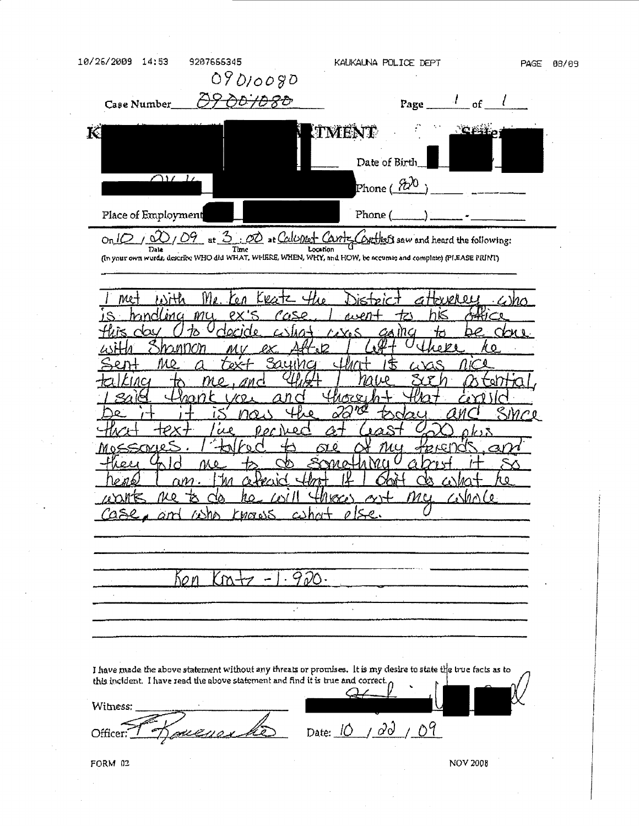10/26/2009 14:53 9207655345 KAUKALNA POLICE DEPT PAGE 08/09 09010090 Case Number  $\frac{\partial \rho}{\partial \theta}$  /D $\frac{\partial \rho}{\partial \theta}$  Page  $\frac{l}{l}$  of K **ITMENT** Date of Birth  $\bigcap U$ Phone (  $7t$ Place of Employment Phone ( 3 : 00 at Calumet Cantes  $OnLQ$  $\alpha$ Ω9 Context saw and heard the following: The Time Location C Location C Contains and complete) (PLEASE PRINT) ſY. v 0Ä O L Ms mu oγ nk  $\mathfrak{p}$   $\mathfrak{p}$ ŃΟ ገ⁄⊽ r, O *MOLOS* 9 ho n w M  $\mathcal{S}^{\prime}$ J have made the above statement without any threats or promises. It is my desire to state the true facts as to this incident. I have read the above statement and find it is true and correct. Witness: Officer:  $16$  pacecuar da pate: 10 / 00 / 09 FORM 02 NOV 2008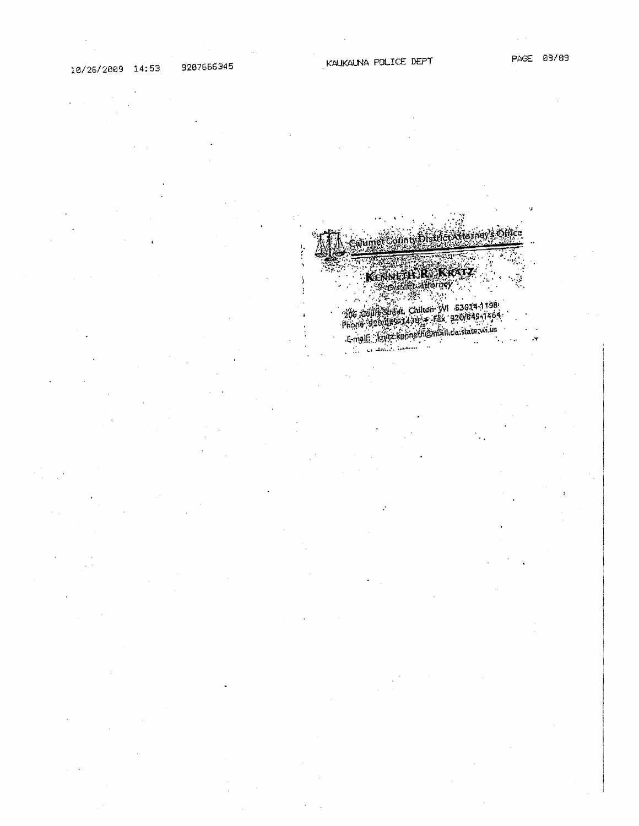$\ddot{.}$ 

 $\mathbf{r}$ 

ealumet Gounty DistrictA terriey's Office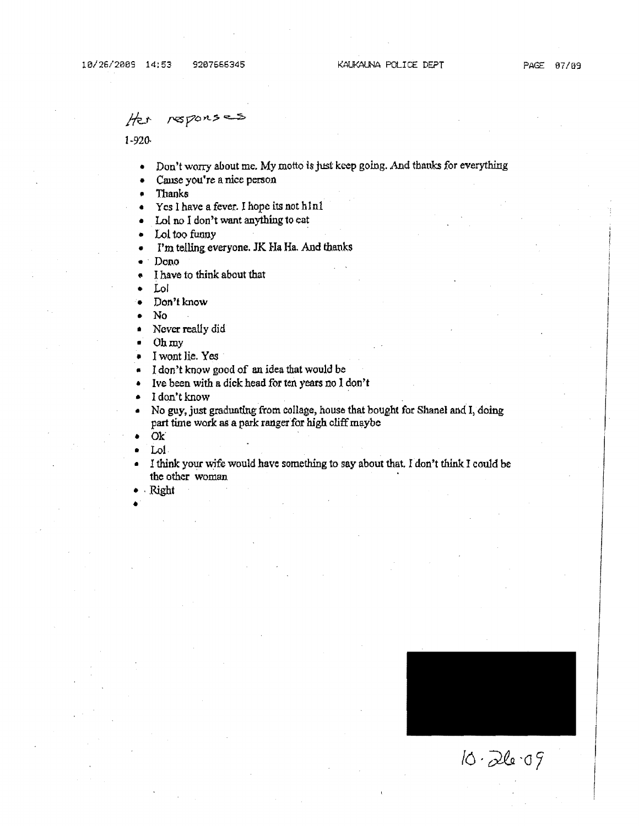#### reporses Her

 $1 - 920$ 

- Don't worry about me. My motto is just keep going. And thanks for everything
- Cause you're a nice person
- Thanks
- Yes I have a fever. I hope its not h1n1
- Lol no I don't want anything to eat
- Lol too funny
- I'm telling everyone. JK Ha Ha. And thanks
- Dono
- I have to think about that
- Loi
- Don't know
- No
- Never really did
- Ohmy
- I wont lie. Yes
- I don't know good of an idea that would be
- Ive been with a dick head for ten years no I don't
- I don't know
- No guy, just graduating from collage, house that bought for Shanel and I, doing part time work as a park ranger for high cliff maybe
- Ok'
- Lol.
- I think your wife would have something to say about that. I don't think I could be the other woman
- 'Right •



 $10.2609$ 

I

I

I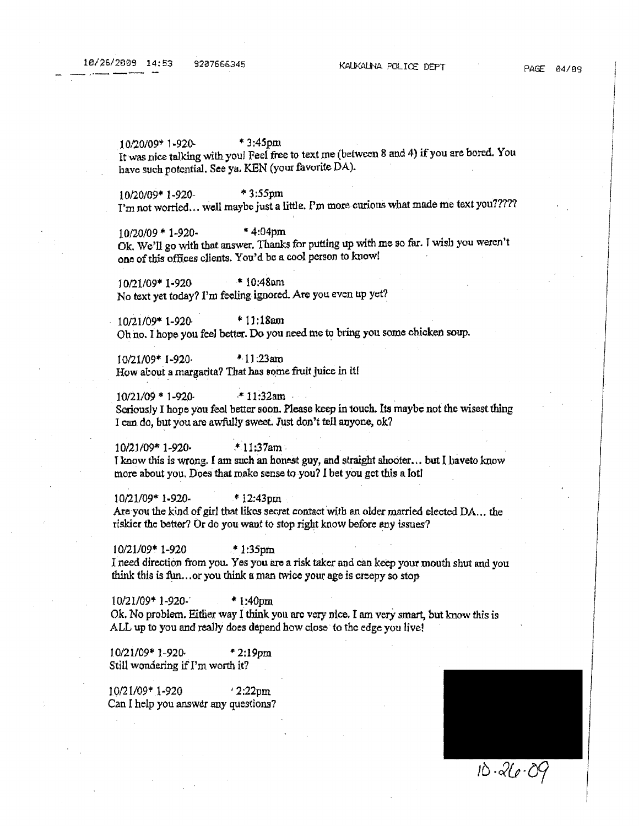10/20/09\* 1-920- \* 3;45pm It was nice talking with you! Feel free to text me (between 8 and 4) if you are bored. You have such potential. See ya. KEN (your favorite DA).

10/20/09\* 1 -920- "' 3 :55pm I'm not worried... well maybe just a little. I'm more curious what made me text you?????

 $10/20/09 * 1 - 920 -$  \* 4:04pm Ok. We'll go with that answer. Thanks for putting up with me so far. I wish you weren't one of this offices clients. You'd be a cool person to knowl

10/21/09\* 1·920 \* 10:48am No text yet today? I'm feeling ignored. Are you even up yet?

10/21/09\* l-920 \* 11:18am Oh no. I hope you feeJ better. Do you need me to bring you some chicken soup.

l 0/21/09\* I-920· \*· l l :23am How about a margarita? That has some fruit juice in it!

 $10/21/09 * 1-920$  \*  $11:32$ am Seriously I hope you feel better soon. Please keep in touch. Its maybe not the wisest thing I can do, but you are awfully sweet. Just don't tell anyone, ok?

10/21/09\* 1-920· -\* 11:37am. I know this is wrong. I am such an honest guy, and straight shooter... but I haveto know more about you. Does that make sense to you? I bet you get this a lot!

10/21/09\* 1-920- \* 12:43pm Are you the kind of girl tbat likos secret contact with an older married elected DA. .. the riskier the better? Or do you want to stop right know before any issues?

 $10/21/09$ \* 1-920 ,tl:35pm I need direction from you. Yes you are a risk taker and can keep your mouth shut and you think this is fun, or you think a man twice your age is creepy so stop

10/21/09\* 1-920·' • 1:40pm. Ok. No problem. Either way I think you arc very nice. I am very smart, but know this is ALL up to you and really does depend how close to the edge you live!

l 0/21/09\* 1-92(). "' 2: **l** 9pm. Still wondering if I'm worth it?

10/21/09\* 1-920 ' 2:22pm. Can I help you answer any questions?



 $10.26.09$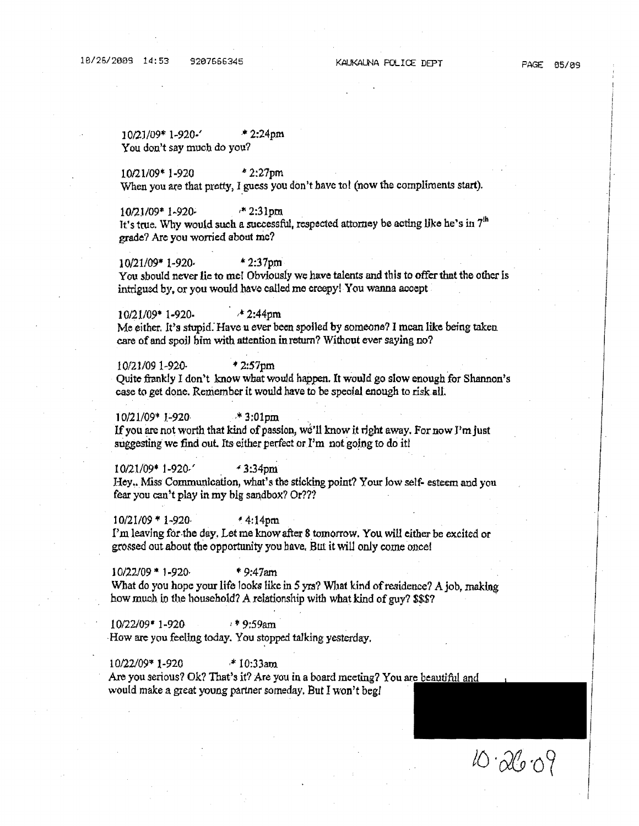10/21/09\* 1-920-' \* 2:24pm You don't say much do you?

10/21/09\* 1-920 • 2:27pm When you are that pretty, I guess you don't have to! (now the compliments start).

10/21/09\* 1-920; \*\* 2:31pm It's true. Why would such a successful, respected attorney be acting like he's in  $7<sup>th</sup>$ grade? Are you worried about me?

10/21109\* 1-920· \* 2:37pm You should never lie to me! Obviously we have talents and this to offer that the other is intrigued by, or you would have called me creepy! You wanna accept

10/21/09\* 1-920- *<sup>1</sup>*  $* 2:44$ pm Me either. It's stupid. Have u ever been spolled by someone? I mean like being taken care of and spoiJ bim with attention in return? Without ever saying no?

10/21/09 1-920. • 2:57pm \* 2:57pm .<br>Quite frankly I don't know what would happen. It would go slow enough for Shannon's case to get done. Remember it would have to be special enough to risk all.

 $10/21/09$ \* 1-920· \* 3:01pm If you are not worth that kind of passion, we'll know it right away. For now I'm just suggesting we find out. Its either perfect or I'm not going to do it!

I 0/21/09\* 1 ·920/ *.('* 3:34pm Hey.. Miss Communication, what's the sticking point? Your low self- esteem and you fear you can't play in my big sandbox? Or???

 $10/21/09 * 1 - 920$   $* 4:14 \text{pm}$ I'm leaving for the day. Let me know after 8 tomorrow. You will either be excited or grossed out about the opportunity you have. But it will only come once!

 $10/22/09$  \* 1-920· \* 9:47am What do you hope your life looks like in 5 yrs? What kind of residence? A job, making how much in the household? A relationship with what kind of guy? \$\$\$?

10/22/09\* 1-920. 1\* 9:59am How are you feeling today. You stopped talking yesterday.

 $10/22/09$ \* 1-920 \* 10:33am. Are you serious? Ok? That's it? Are you in a board meeting? You are beautiful and would make a great young partner someday, But I won't beg/

l6 *·&&* ·o9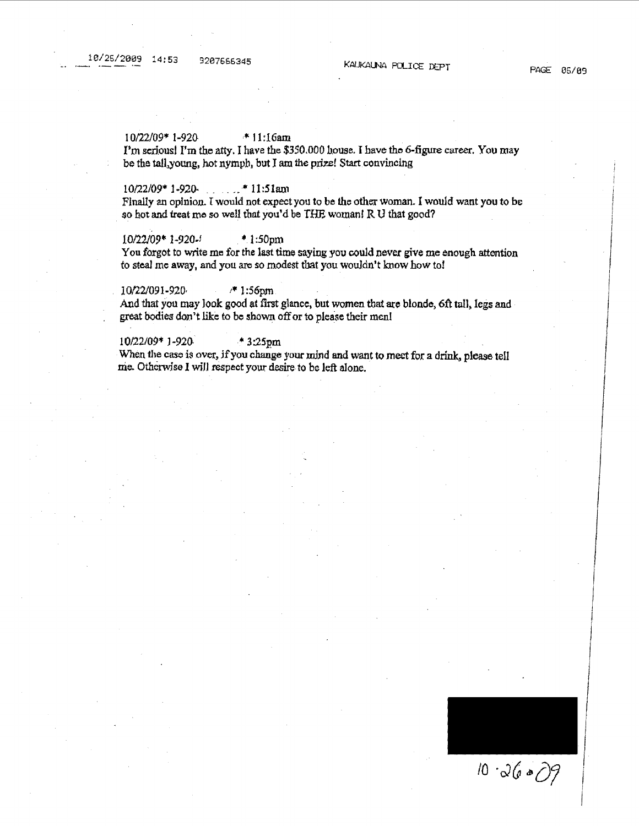#### I 0/22/09\* 1-920 \* 11: l 6am

I'm serious! I'm the atty. I have the \$350.000 house. I have the 6-figure career. You may be the tall.young, hot nymph, but I am the prize! Start convincing

#### 10/22/09\* l-920. \_\_ . \_ ,. "'11:Slatn

Finally an opinion. I would not expect you to be the other woman. I would want you to be \_ so hot and treat mo so well tbat you'd be *THE* woman! R 1J that good?

10/22/09\* 1-920-f • 1 :SOpm

You forgot to write me for the last time saying you could never give me enough attention to steal me away, and you are so modest that you wouldn't know how to!

10/22/091-920, <sup>+</sup> 1:56pm And that you may look good at first glance, but women that *ate* blondo, 6ft tall, legs and great bodies don't like to be shown off or to please their men!

#### 10/22/09\* l-920. \* 3:25pm

When the case is over, if you change your mind and want to meet for a drink, please tell nie. Otherwise I wiH respect your desire to be left alone.

 $10.3600$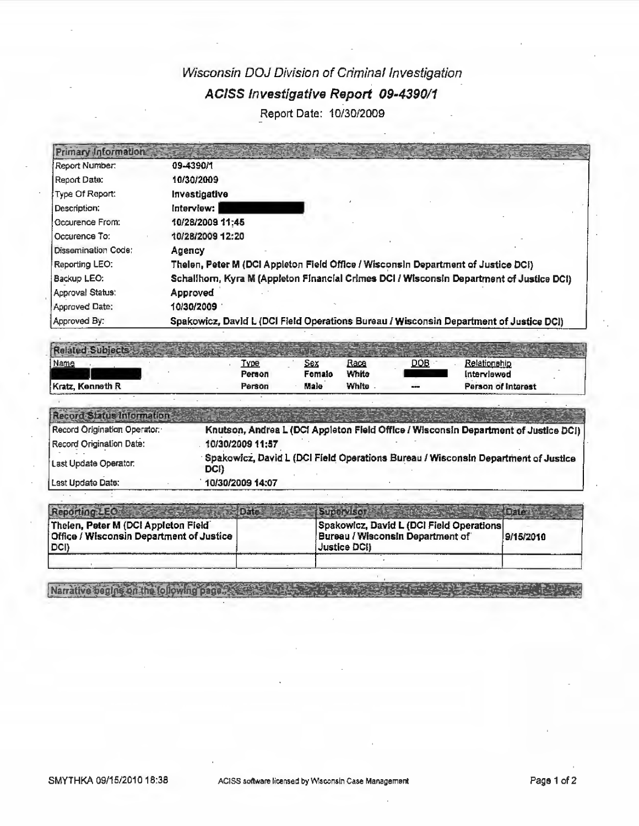## Wisconsin DOJ Division of Criminal Investigation **AC/SS Investigative Report 09-4390/1**  Report Date: 10/30/2009

| Primary Information |                                                                                         |
|---------------------|-----------------------------------------------------------------------------------------|
| Report Number:      | 09-4390/1                                                                               |
| Report Date:        | 10/30/2009                                                                              |
| Type Of Report:     | Investigative                                                                           |
| Description:        | Interview:                                                                              |
| Occurence From:     | 10/28/2009 11:45                                                                        |
| Occurence To:       | 10/28/2009 12:20                                                                        |
| Dissemination Code: | Аделсу                                                                                  |
| Reporting LEO:      | Thelen, Peter M (DCI Appleton Field Office / Wisconsin Department of Justice DCI)       |
| Backup LEO:         | Schallhom, Kyra M (Appleton Financial Crimes DCI / Wisconsin Department of Justice DCI) |
| Approval Status:    | Approved                                                                                |
| Approved Date:      | 10/30/2009                                                                              |
| Approved By:        | Spakowicz, David L (DCI Field Operations Bureau / Wisconsin Department of Justice DCI)  |

| Name             | <u>Түрө</u> | <u>Sex</u> | Race  | <b>DOB</b>   | Relationship       |
|------------------|-------------|------------|-------|--------------|--------------------|
|                  | Person      | Female     | White |              | intervlewed        |
| Kratz, Kenneth R | Person      | Male       | White | <b>STATE</b> | Person of Interest |

| Record Status Information    |                                                                                           |
|------------------------------|-------------------------------------------------------------------------------------------|
| Record Origination Operator: | Knutson, Andrea L (DCI Appleton Field Office / Wisconsin Department of Justice DCI)       |
| Record Origination Date:     | 10/30/2009 11:57                                                                          |
| Last Update Operator:        | Spakowicz, David L (DCI Field Operations Bureau / Wisconsin Department of Justice<br>DCI) |
| i Last Update Date:          | 10/30/2009 14:07                                                                          |

| Reporting LEO                                                                             | Supervisor                                                                                                        |  |
|-------------------------------------------------------------------------------------------|-------------------------------------------------------------------------------------------------------------------|--|
| Thelen, Peter M (DCI Appleton Field<br>Office / Wisconsin Department of Justice<br>I DCI) | Spakowicz, David L (DCI Field Operations)<br>Bureau / Wisconsin Department of<br>9/15/2010<br><b>Justice DCII</b> |  |
|                                                                                           |                                                                                                                   |  |

Natrative peoples on the tollowing page of the state and the state of the state of the state of the state of the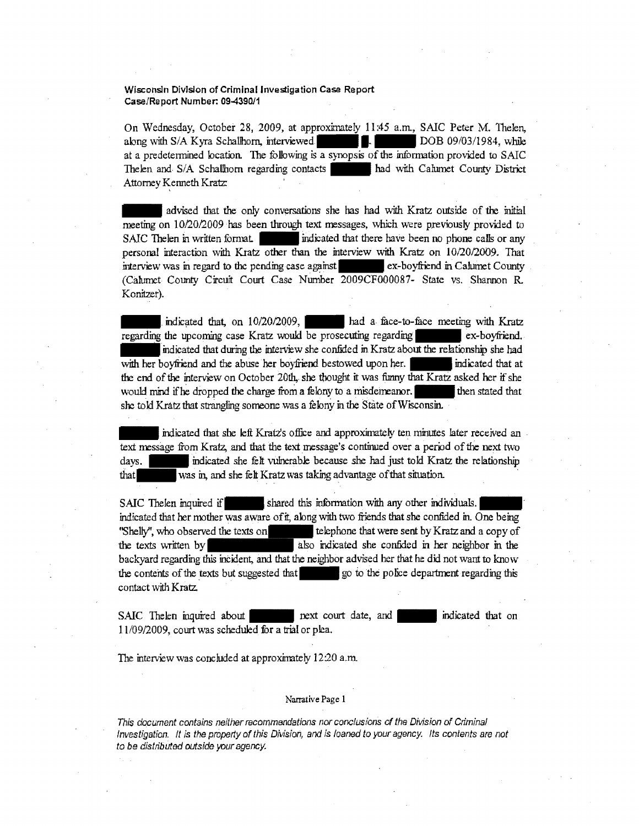#### Wisconsin Division of Criminal Investigation Case Report Case/Report Number: 09-4390/1

On Wednesday, October 28, 2009, at approximately 11:45 a.m., SAIC Peter M. Thelen, wisconsin Division or Criminal Investigation Case Report<br>Case/Report Number: 09-4390/1<br>On Wednesday, October 28, 2009, at approximately 11:45 a.m., SAIC Peter M. Thelen,<br>along with S/A Kyra Schallhorn, interviewed.<br>at a pr at a predetermined location. The following is a synopsis of the information provided to SAIC The len and S/A Schallhorn regarding contacts had with Calumet County District Attorney Kenneth Kratz:

- advised that the only conversations she has had with Kratz outside of the initial meeting on 10/20/2009 has been through text messages, which were previously provided to SAIC Thelen in written format  $\cdot$  indicated that there have been no phone calls or any personal interaction with Kratz other than the interview with Kratz on 10/20/2009. That interview was in regard to the pending case against ex-boyfriend in Calumet County (Calumet County Circuit Court Case Number 2D09CF000087- State vs. Shannon R Konitzer).

Indicated that, on 10/20/2009, had a face-to-face meeting with Kratz regarding the upcoming case Kratz would be prosecuting regarding ex-boyfriend. indicated that during the interview she confided in Kratz about the relationship she had with her boyfriend and the abuse her boyfriend bestowed upon her.  $\parallel$  indicated that at the end of the interview on October 20th, she thought it was funny that Kratz asked her if she would mind if he dropped the charge from a felony to a misdemeanor.  $\blacksquare$  then stated that she told Kratz that strangling someone was a felony in the State of Wisconsin.

indicated that she left Kratz's office and approximately ten minutes later received an text message from Kratz, and that the text message's continued over a period of the next two days. Indicated she felt vulnerable because she had just told Kratz the relationship that\_ was in, and she feh Kratz was taking advantage of that situation.

SAIC Thelen inquired if shared this information with any other individuals. indicated that her mother was aware of it, along with two friends that she confided in. One being "Shelly", who observed the texts on the telephone that were sent by Kratz and a copy of SAIC The len inquired if shared this information with any other individuals.<br>
indicated that her mother was aware of it, along with two friends that she confided in. One being<br>
"Shelly", who observed the texts on<br>
the text backyard regarding this incident, and that the neighbor advised her that he did not want to know the contents of the texts but suggested that  $\qquad$  go to the police department regarding this contact with Kratz

SAIC Thelen inquired about - next court date, and - ... indicated that on 11/09/2009, court was scheduled. for a trial or plea.

The interview was concluded at approximately 12:20 a.m.

#### **Narrative** Page **1**

This document contains neither recommendations nor conclusions of the Division of Criminal Investigation. It is the property of this Division, and is loaned to your agency. Its contents are not to be distributed outside your agency.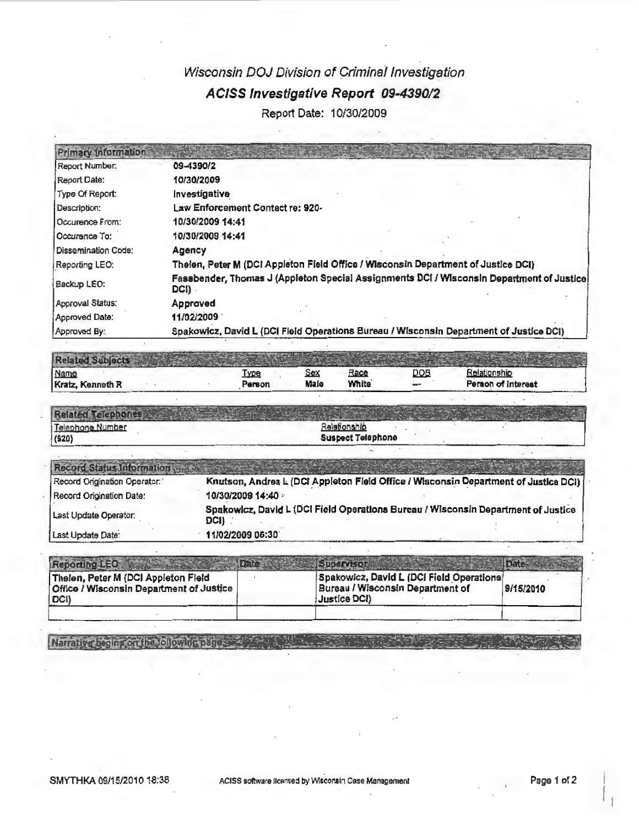# Wisconsin DOJ Division of Criminai Investigation AC/SS Investigative Report 09-4390/2

Report Date: 10/30/2009

| Primary Information   |                                                                                                    |
|-----------------------|----------------------------------------------------------------------------------------------------|
| Report Number:        | 09-4390/2                                                                                          |
| Report Date:          | 10/30/2009                                                                                         |
| Type Of Report:       | Investigative                                                                                      |
| Description:          | Law Enforcement Contact re: 920-                                                                   |
| l Occurence From:     | 10/30/2009 14:41                                                                                   |
| 10 ссигепсе То:       | 10/30/2009 14:41                                                                                   |
| ! Dissemination Code: | Agency                                                                                             |
| Reporting LEO:        | Thelen, Peter M (DCI Appleton Field Office / Wisconsin Department of Justice DCI)                  |
| Backup LEO:           | Fassbender, Thomas J (Appleton Special Assignments DCI / Wisconsin Department of Justice)<br>DCI). |
| Approval Status:      | Approved                                                                                           |
| Approved Date:        | 11/02/2009                                                                                         |
| Approved By:          | Spakowicz, David L (DCI Fleid Operations Bureau / Wisconsin Department of Justice DCI)             |

| <b>Rela</b>      |        |      |       |     |                    |
|------------------|--------|------|-------|-----|--------------------|
| Name             | Туре   | Sex  | Race  | DOB | Relationship       |
| Kratz, Kenneth R | Регвоп | Male | White | --  | Person of Interest |

| D <sub>min</sub> |                          |  |
|------------------|--------------------------|--|
| Telephone Number | Relationship             |  |
| (920)            | <b>Suspect Telephone</b> |  |

| Record Status Information    |                                                                                           |
|------------------------------|-------------------------------------------------------------------------------------------|
| Record Origination Operator: | Knutson, Andrea L (DCI Appleton Field Office / Wisconsin Department of Justice DCI)       |
| Record Origination Date:     | 10/30/2009 14:40                                                                          |
| Last Update Operator.        | Spakowicz, David L (DCI Field Operations Bureau / Wisconsin Department of Justice<br>DCI) |
| Last Update Date:            | 11/02/2009 06:30                                                                          |

| Reporting LEO                                                                                    | <b>SUDERVISOR</b>                                                                             |           |
|--------------------------------------------------------------------------------------------------|-----------------------------------------------------------------------------------------------|-----------|
| Thelen, Peter M (DCI Appleton Field<br><b>Office / Wisconsin Department of Justice</b><br>  DCI) | Spakowicz, David L (DCI Field Operations)<br>Bureau / Wisconsin Department of<br>Justice DCI) | 9/15/2010 |
|                                                                                                  |                                                                                               |           |

**Richard** 

Narrative begins on the following pages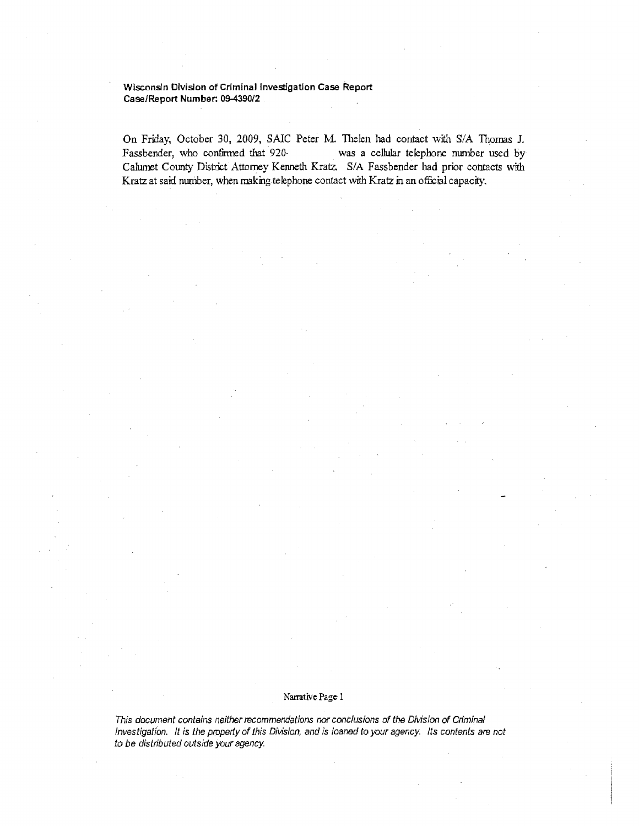#### **Wisconsin Division of Criminal Investigation Case Report Case/Report Number: 09-4390/2**

On Friday, October 30, 2009, SAIC Peter M. Thelen had contact with S/A Thomas J. Fassbender, who confirmed that 920- was a cellular telephone number used by Calumet County District Attorney Kenneth Kratz. SIA Fassbender had prior contacts with Kratz at said number, when making telephone contact with Kratz in an official capacity.

#### Narrative Page 1

This document contains neither recommendations nor conclusions of the Division of Criminal Investigation. It is the prppetfy of this Division, and is loaned to your agency. Its contents are not to be distributed outside your agency.